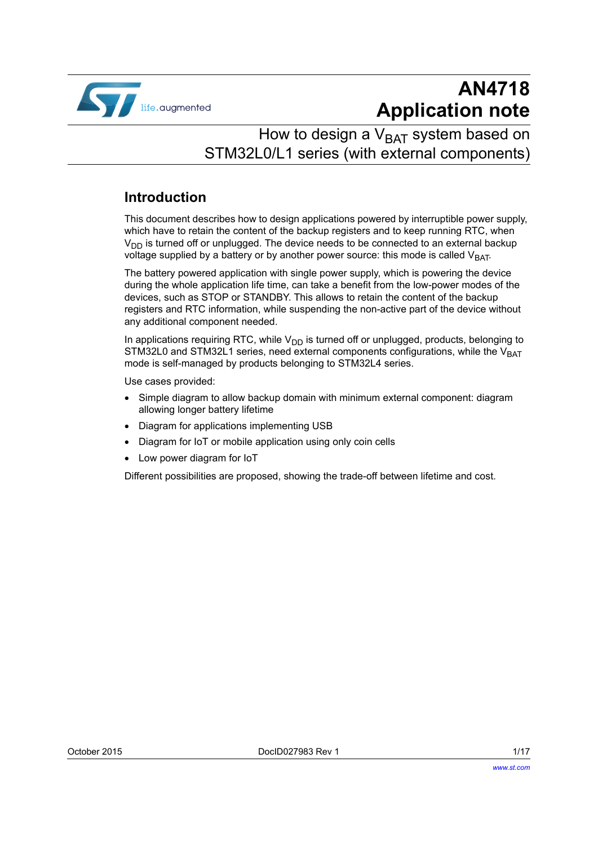

# **AN4718 Application note**

## How to design a  $V_{BAT}$  system based on STM32L0/L1 series (with external components)

### **Introduction**

This document describes how to design applications powered by interruptible power supply, which have to retain the content of the backup registers and to keep running RTC, when  $V_{DD}$  is turned off or unplugged. The device needs to be connected to an external backup voltage supplied by a battery or by another power source: this mode is called  $V_{BAT}$ .

The battery powered application with single power supply, which is powering the device during the whole application life time, can take a benefit from the low-power modes of the devices, such as STOP or STANDBY. This allows to retain the content of the backup registers and RTC information, while suspending the non-active part of the device without any additional component needed.

In applications requiring RTC, while  $V_{DD}$  is turned off or unplugged, products, belonging to STM32L0 and STM32L1 series, need external components configurations, while the  $V_{BAT}$ mode is self-managed by products belonging to STM32L4 series.

Use cases provided:

- Simple diagram to allow backup domain with minimum external component: diagram allowing longer battery lifetime
- Diagram for applications implementing USB
- Diagram for IoT or mobile application using only coin cells
- Low power diagram for IoT

Different possibilities are proposed, showing the trade-off between lifetime and cost.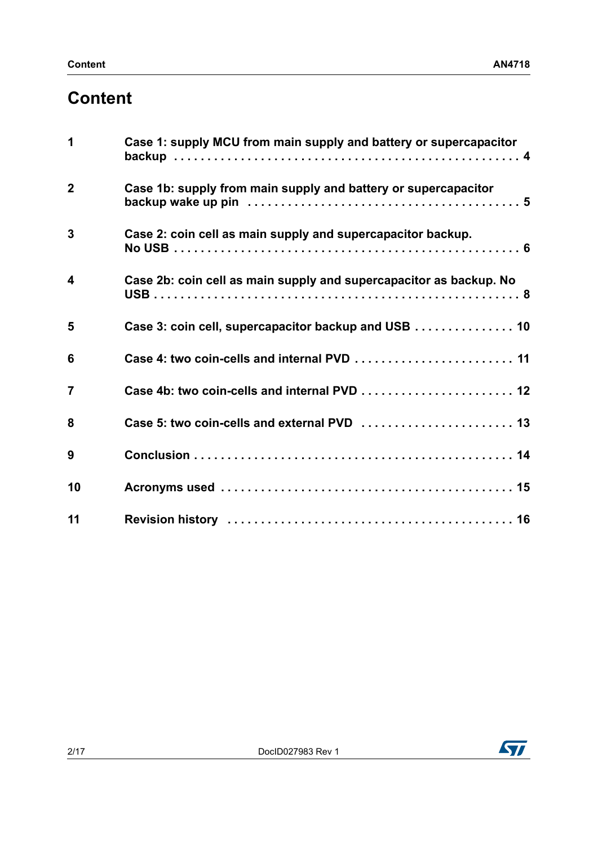# **[Content](#page-3-0)**

| 1                       | Case 1: supply MCU from main supply and battery or supercapacitor  |
|-------------------------|--------------------------------------------------------------------|
| $\overline{2}$          | Case 1b: supply from main supply and battery or supercapacitor     |
| $\mathbf{3}$            | Case 2: coin cell as main supply and supercapacitor backup.        |
| $\overline{\mathbf{4}}$ | Case 2b: coin cell as main supply and supercapacitor as backup. No |
| 5                       | Case 3: coin cell, supercapacitor backup and USB 10                |
| 6                       |                                                                    |
| $\overline{7}$          |                                                                    |
| 8                       |                                                                    |
| 9                       |                                                                    |
| 10                      |                                                                    |
| 11                      |                                                                    |

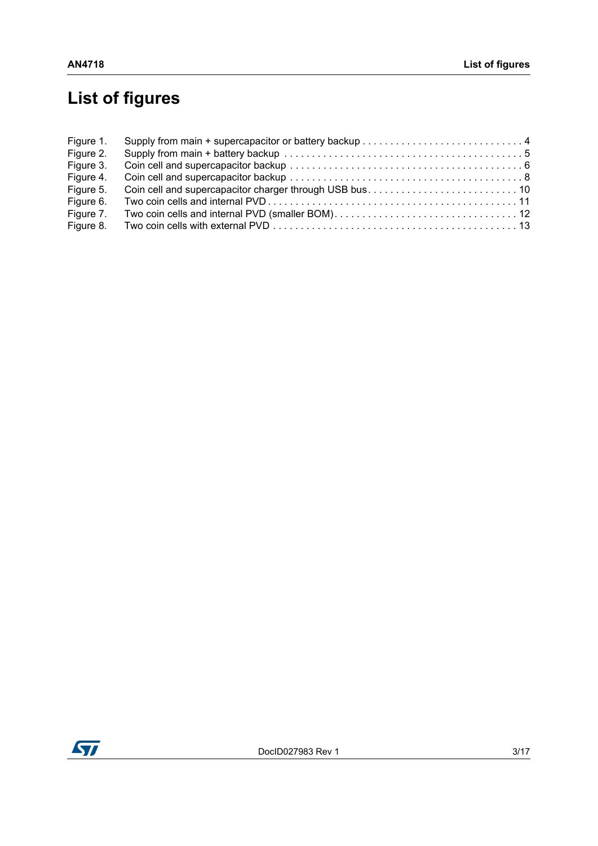# **[List of figures](#page-3-1)**

| Figure 1. |  |
|-----------|--|
| Figure 2. |  |
| Figure 3. |  |
| Figure 4. |  |
| Figure 5. |  |
| Figure 6. |  |
| Figure 7. |  |
| Figure 8. |  |

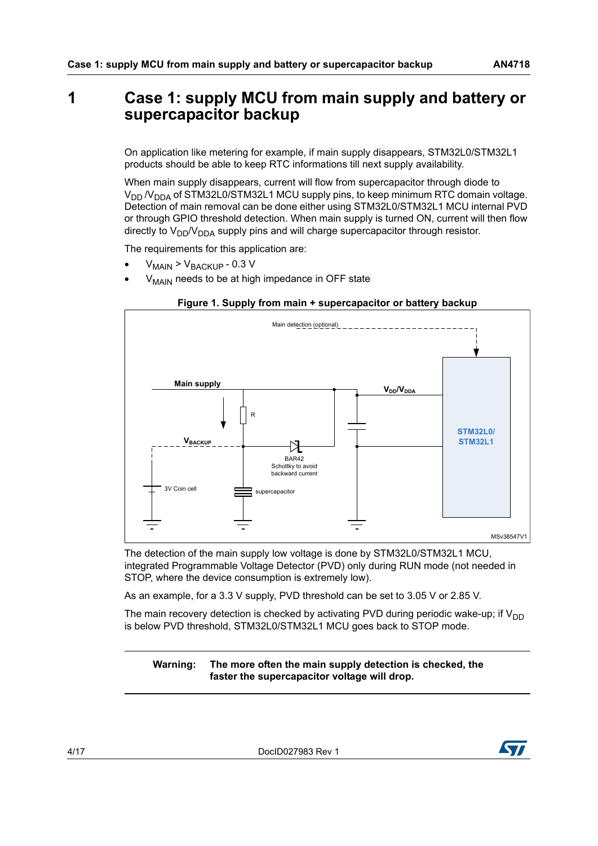## <span id="page-3-0"></span>**1 Case 1: supply MCU from main supply and battery or supercapacitor backup**

On application like metering for example, if main supply disappears, STM32L0/STM32L1 products should be able to keep RTC informations till next supply availability.

When main supply disappears, current will flow from supercapacitor through diode to  $V_{DD}$  /V<sub>DDA</sub> of STM32L0/STM32L1 MCU supply pins, to keep minimum RTC domain voltage. Detection of main removal can be done either using STM32L0/STM32L1 MCU internal PVD or through GPIO threshold detection. When main supply is turned ON, current will then flow directly to  $V_{DD}/V_{DDA}$  supply pins and will charge supercapacitor through resistor.

The requirements for this application are:

- $V_{\text{MAIN}}$  >  $V_{\text{BACKUP}}$  0.3 V
- $V_{\text{MAIN}}$  needs to be at high impedance in OFF state

<span id="page-3-1"></span>

#### **Figure 1. Supply from main + supercapacitor or battery backup**

The detection of the main supply low voltage is done by STM32L0/STM32L1 MCU, integrated Programmable Voltage Detector (PVD) only during RUN mode (not needed in STOP, where the device consumption is extremely low).

As an example, for a 3.3 V supply, PVD threshold can be set to 3.05 V or 2.85 V.

The main recovery detection is checked by activating PVD during periodic wake-up; if  $V_{DD}$ is below PVD threshold, STM32L0/STM32L1 MCU goes back to STOP mode.

#### **Warning: The more often the main supply detection is checked, the faster the supercapacitor voltage will drop.**

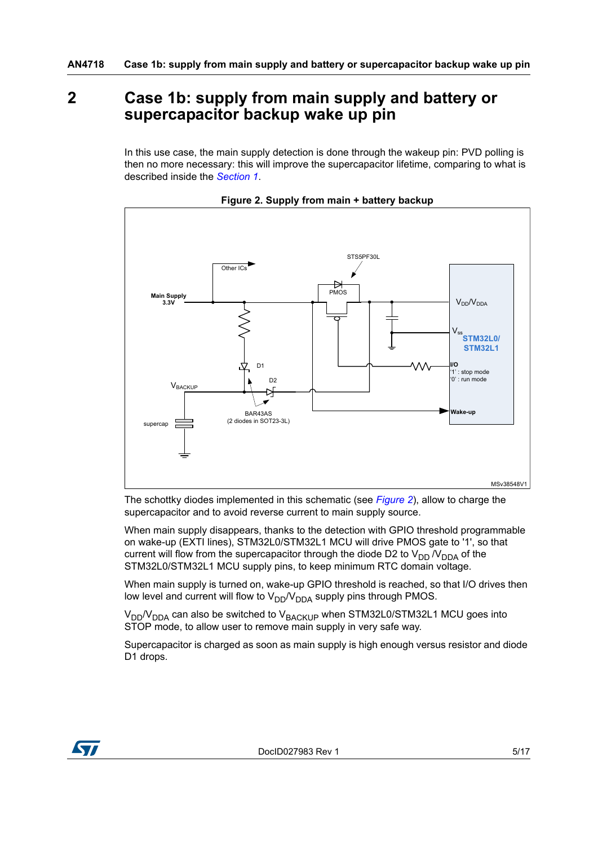## <span id="page-4-0"></span>**2 Case 1b: supply from main supply and battery or supercapacitor backup wake up pin**

In this use case, the main supply detection is done through the wakeup pin: PVD polling is then no more necessary: this will improve the supercapacitor lifetime, comparing to what is described inside the *[Section 1](#page-3-0)*.

<span id="page-4-1"></span>

**Figure 2. Supply from main + battery backup**

The schottky diodes implemented in this schematic (see *[Figure 2](#page-4-1)*), allow to charge the supercapacitor and to avoid reverse current to main supply source.

When main supply disappears, thanks to the detection with GPIO threshold programmable on wake-up (EXTI lines), STM32L0/STM32L1 MCU will drive PMOS gate to '1', so that current will flow from the supercapacitor through the diode D2 to  $V_{DD}N_{DDA}$  of the STM32L0/STM32L1 MCU supply pins, to keep minimum RTC domain voltage.

When main supply is turned on, wake-up GPIO threshold is reached, so that I/O drives then low level and current will flow to  $V_{DD}/V_{DDA}$  supply pins through PMOS.

 $V_{DD}/V_{DDA}$  can also be switched to  $V_{BACKUP}$  when STM32L0/STM32L1 MCU goes into STOP mode, to allow user to remove main supply in very safe way.

Supercapacitor is charged as soon as main supply is high enough versus resistor and diode D1 drops.

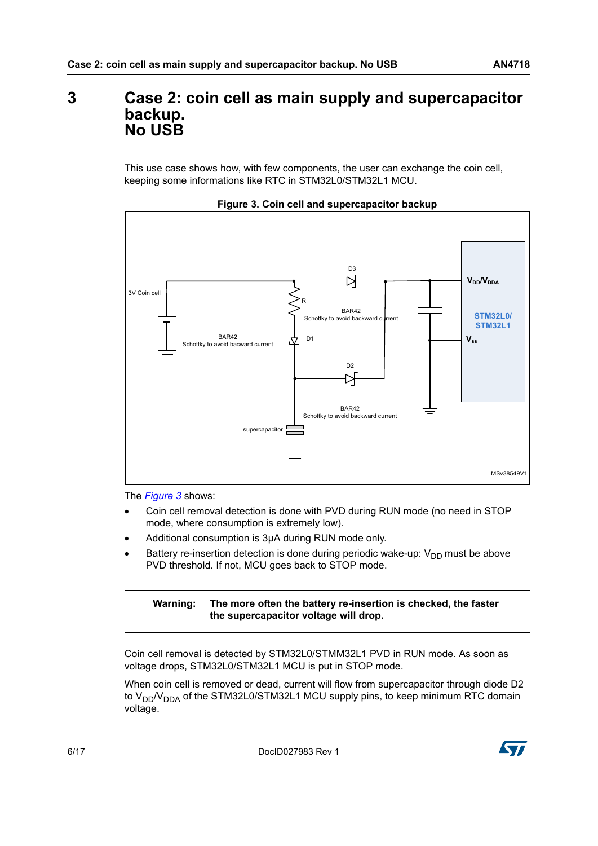## <span id="page-5-0"></span>**3 Case 2: coin cell as main supply and supercapacitor backup. No USB**

This use case shows how, with few components, the user can exchange the coin cell, keeping some informations like RTC in STM32L0/STM32L1 MCU.

<span id="page-5-1"></span>



The *[Figure 3](#page-5-1)* shows:

- Coin cell removal detection is done with PVD during RUN mode (no need in STOP mode, where consumption is extremely low).
- Additional consumption is 3µA during RUN mode only.
- Battery re-insertion detection is done during periodic wake-up:  $V_{DD}$  must be above PVD threshold. If not, MCU goes back to STOP mode.

#### **Warning: The more often the battery re-insertion is checked, the faster the supercapacitor voltage will drop.**

Coin cell removal is detected by STM32L0/STMM32L1 PVD in RUN mode. As soon as voltage drops, STM32L0/STM32L1 MCU is put in STOP mode.

When coin cell is removed or dead, current will flow from supercapacitor through diode D2 to  $V_{DD}/V_{DDA}$  of the STM32L0/STM32L1 MCU supply pins, to keep minimum RTC domain voltage.

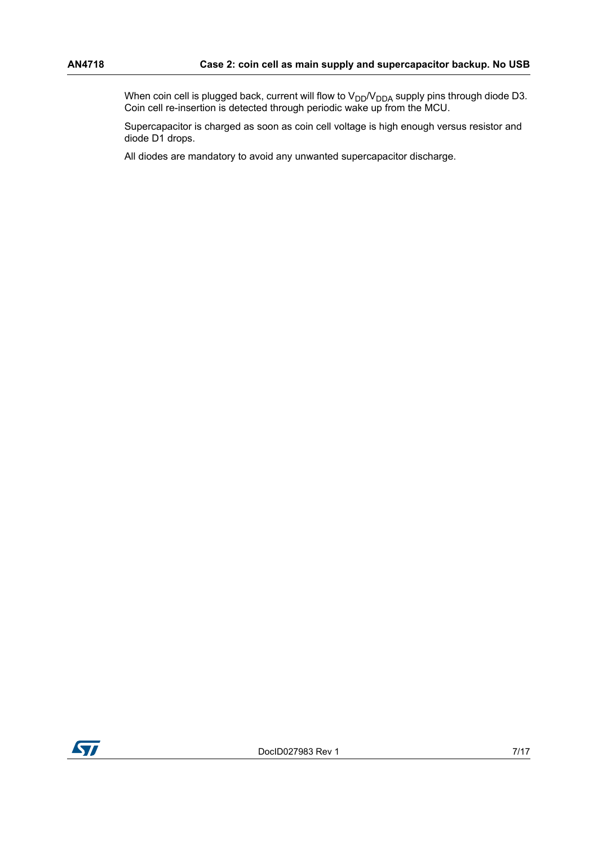When coin cell is plugged back, current will flow to  $\rm V_{DD}/V_{DDA}$  supply pins through diode D3. Coin cell re-insertion is detected through periodic wake up from the MCU.

Supercapacitor is charged as soon as coin cell voltage is high enough versus resistor and diode D1 drops.

All diodes are mandatory to avoid any unwanted supercapacitor discharge.

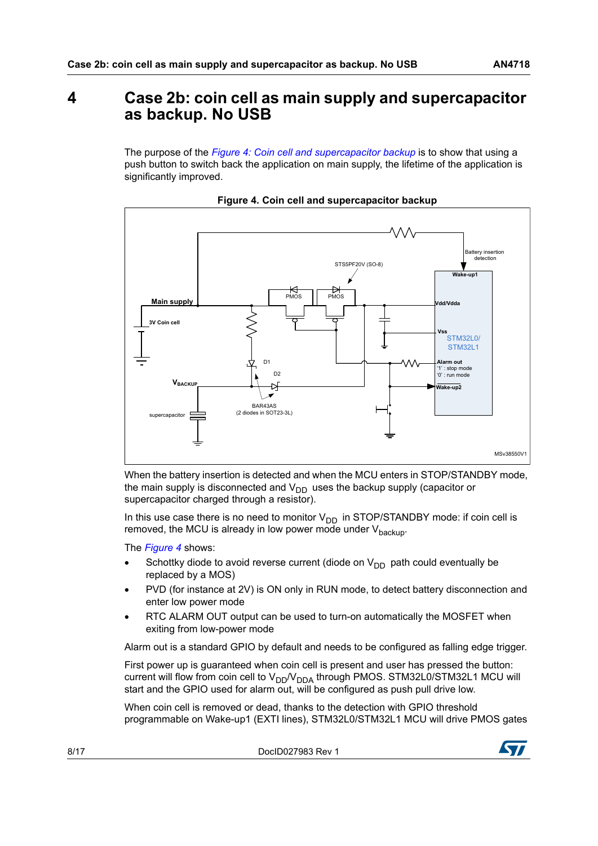## <span id="page-7-0"></span>**4 Case 2b: coin cell as main supply and supercapacitor as backup. No USB**

The purpose of the *[Figure 4: Coin cell and supercapacitor backup](#page-7-1)* is to show that using a push button to switch back the application on main supply, the lifetime of the application is significantly improved.

<span id="page-7-1"></span>



When the battery insertion is detected and when the MCU enters in STOP/STANDBY mode, the main supply is disconnected and  $V_{DD}$  uses the backup supply (capacitor or supercapacitor charged through a resistor).

In this use case there is no need to monitor  $V_{DD}$  in STOP/STANDBY mode: if coin cell is removed, the MCU is already in low power mode under  $V_{\text{backup}}$ .

The *[Figure 4](#page-7-1)* shows:

- Schottky diode to avoid reverse current (diode on  $V_{DD}$  path could eventually be replaced by a MOS)
- PVD (for instance at 2V) is ON only in RUN mode, to detect battery disconnection and enter low power mode
- RTC ALARM OUT output can be used to turn-on automatically the MOSFET when exiting from low-power mode

Alarm out is a standard GPIO by default and needs to be configured as falling edge trigger.

First power up is guaranteed when coin cell is present and user has pressed the button: current will flow from coin cell to  $V_{DD}V_{DDA}$  through PMOS. STM32L0/STM32L1 MCU will start and the GPIO used for alarm out, will be configured as push pull drive low.

When coin cell is removed or dead, thanks to the detection with GPIO threshold programmable on Wake-up1 (EXTI lines), STM32L0/STM32L1 MCU will drive PMOS gates

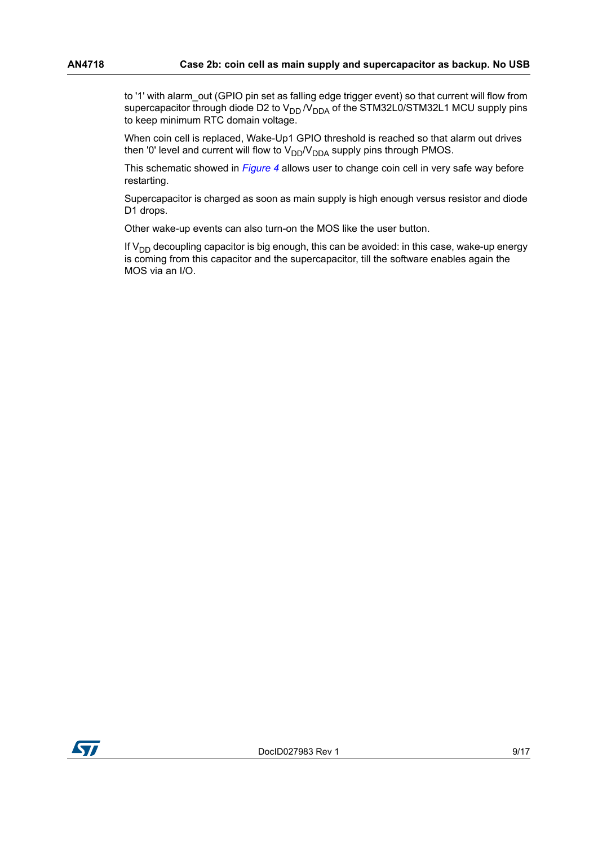to '1' with alarm out (GPIO pin set as falling edge trigger event) so that current will flow from supercapacitor through diode D2 to  $V_{DD}$   $N_{DDA}$  of the STM32L0/STM32L1 MCU supply pins to keep minimum RTC domain voltage.

When coin cell is replaced, Wake-Up1 GPIO threshold is reached so that alarm out drives then '0' level and current will flow to  $V_{DD}/V_{DDA}$  supply pins through PMOS.

This schematic showed in *[Figure 4](#page-7-1)* allows user to change coin cell in very safe way before restarting.

Supercapacitor is charged as soon as main supply is high enough versus resistor and diode D1 drops.

Other wake-up events can also turn-on the MOS like the user button.

If  $V_{DD}$  decoupling capacitor is big enough, this can be avoided: in this case, wake-up energy is coming from this capacitor and the supercapacitor, till the software enables again the MOS via an I/O.

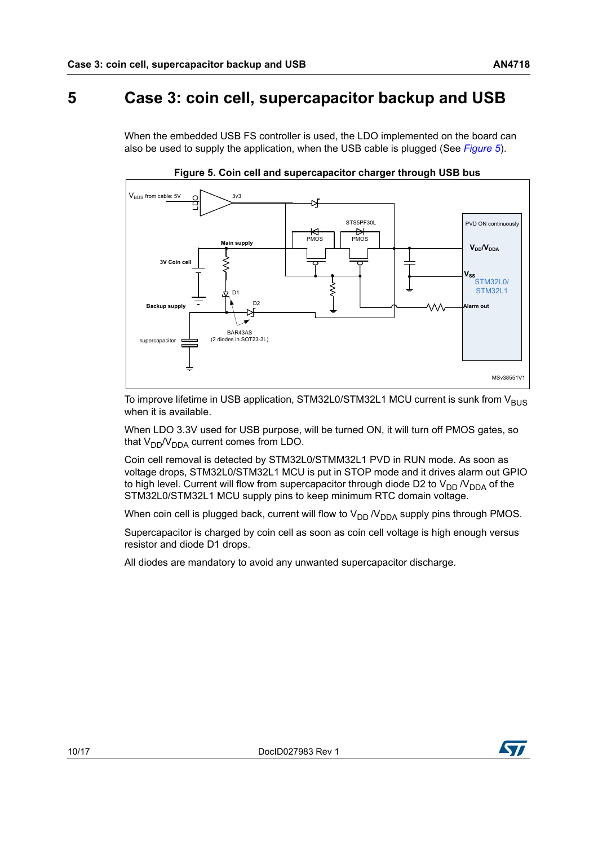## <span id="page-9-0"></span>**5 Case 3: coin cell, supercapacitor backup and USB**

When the embedded USB FS controller is used, the LDO implemented on the board can also be used to supply the application, when the USB cable is plugged (See *[Figure 5](#page-9-1)*).

<span id="page-9-1"></span>

**Figure 5. Coin cell and supercapacitor charger through USB bus**

To improve lifetime in USB application, STM32L0/STM32L1 MCU current is sunk from V<sub>BUS</sub> when it is available.

When LDO 3.3V used for USB purpose, will be turned ON, it will turn off PMOS gates, so that  $V_{DD}/V_{DDA}$  current comes from LDO.

Coin cell removal is detected by STM32L0/STMM32L1 PVD in RUN mode. As soon as voltage drops, STM32L0/STM32L1 MCU is put in STOP mode and it drives alarm out GPIO to high level. Current will flow from supercapacitor through diode D2 to  $V_{DD}$   $N_{DDA}$  of the STM32L0/STM32L1 MCU supply pins to keep minimum RTC domain voltage.

When coin cell is plugged back, current will flow to  $V_{DD}$   $N_{DDA}$  supply pins through PMOS.

Supercapacitor is charged by coin cell as soon as coin cell voltage is high enough versus resistor and diode D1 drops.

All diodes are mandatory to avoid any unwanted supercapacitor discharge.

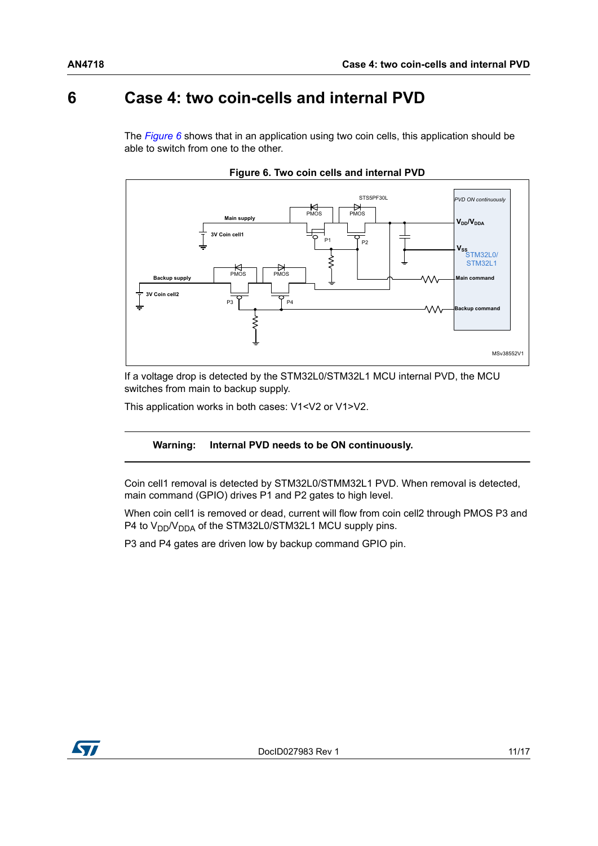## <span id="page-10-0"></span>**6 Case 4: two coin-cells and internal PVD**

The *[Figure 6](#page-10-1)* shows that in an application using two coin cells, this application should be able to switch from one to the other.

<span id="page-10-1"></span>



If a voltage drop is detected by the STM32L0/STM32L1 MCU internal PVD, the MCU switches from main to backup supply.

This application works in both cases: V1<V2 or V1>V2.

#### **Warning: Internal PVD needs to be ON continuously.**

Coin cell1 removal is detected by STM32L0/STMM32L1 PVD. When removal is detected, main command (GPIO) drives P1 and P2 gates to high level.

When coin cell1 is removed or dead, current will flow from coin cell2 through PMOS P3 and P4 to  $V_{DD}/V_{DDA}$  of the STM32L0/STM32L1 MCU supply pins.

P3 and P4 gates are driven low by backup command GPIO pin.

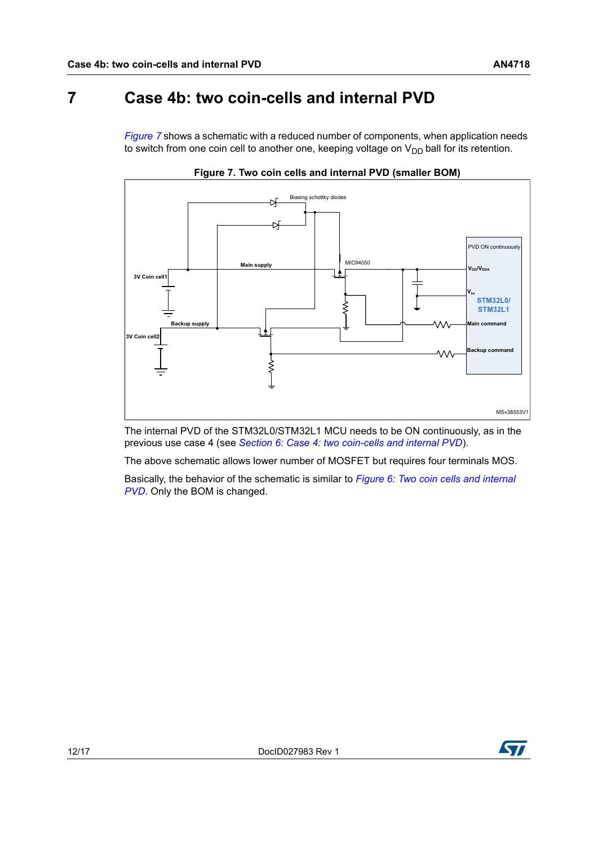<span id="page-11-0"></span>*[Figure 7](#page-11-1)* shows a schematic with a reduced number of components, when application needs to switch from one coin cell to another one, keeping voltage on  $V_{DD}$  ball for its retention.

<span id="page-11-1"></span>



The internal PVD of the STM32L0/STM32L1 MCU needs to be ON continuously, as in the previous use case 4 (see *[Section 6: Case 4: two coin-cells and internal PVD](#page-10-0)*).

The above schematic allows lower number of MOSFET but requires four terminals MOS.

Basically, the behavior of the schematic is similar to *[Figure 6: Two coin cells and internal](#page-10-1)  [PVD](#page-10-1)*. Only the BOM is changed.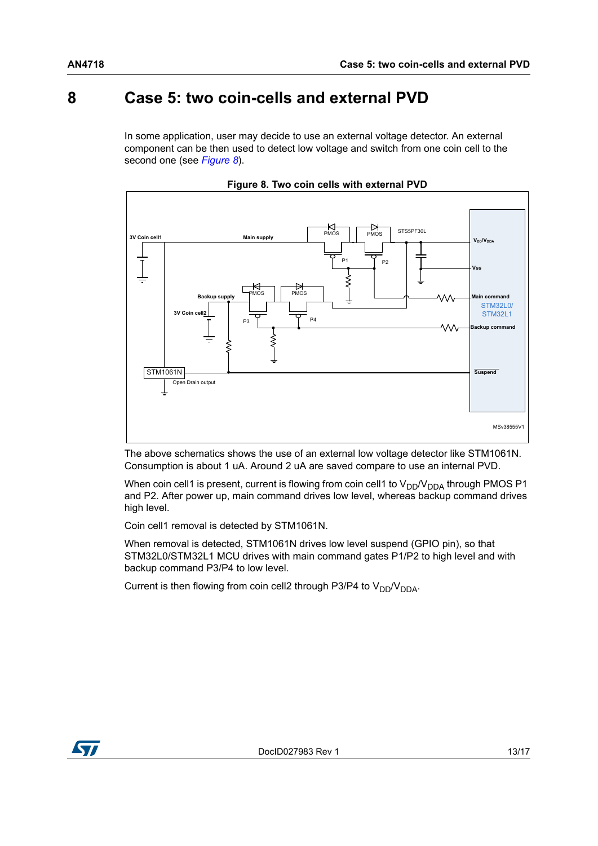## <span id="page-12-0"></span>**8 Case 5: two coin-cells and external PVD**

In some application, user may decide to use an external voltage detector. An external component can be then used to detect low voltage and switch from one coin cell to the second one (see *[Figure 8](#page-12-1)*).

<span id="page-12-1"></span>

**Figure 8. Two coin cells with external PVD**

The above schematics shows the use of an external low voltage detector like STM1061N. Consumption is about 1 uA. Around 2 uA are saved compare to use an internal PVD.

When coin cell1 is present, current is flowing from coin cell1 to  $V_{DD}/V_{DDA}$  through PMOS P1 and P2. After power up, main command drives low level, whereas backup command drives high level.

Coin cell1 removal is detected by STM1061N.

When removal is detected, STM1061N drives low level suspend (GPIO pin), so that STM32L0/STM32L1 MCU drives with main command gates P1/P2 to high level and with backup command P3/P4 to low level.

Current is then flowing from coin cell2 through P3/P4 to  $V_{DD}/V_{DDA}$ .

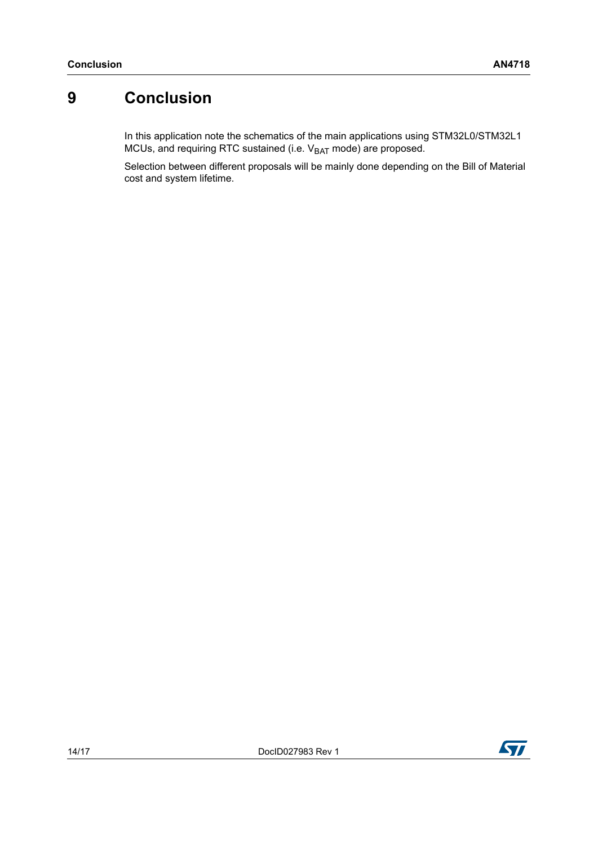## <span id="page-13-0"></span>**9 Conclusion**

In this application note the schematics of the main applications using STM32L0/STM32L1 MCUs, and requiring RTC sustained (i.e. V<sub>BAT</sub> mode) are proposed.

Selection between different proposals will be mainly done depending on the Bill of Material cost and system lifetime.

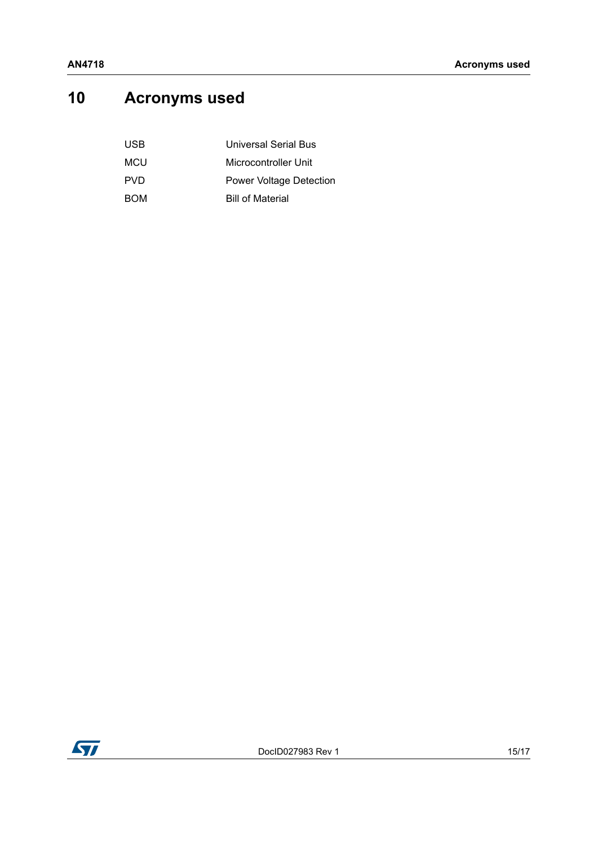# <span id="page-14-0"></span>**10 Acronyms used**

| USB | Universal Serial Bus           |
|-----|--------------------------------|
| MCU | Microcontroller Unit           |
| PVD | <b>Power Voltage Detection</b> |
| BOM | <b>Bill of Material</b>        |

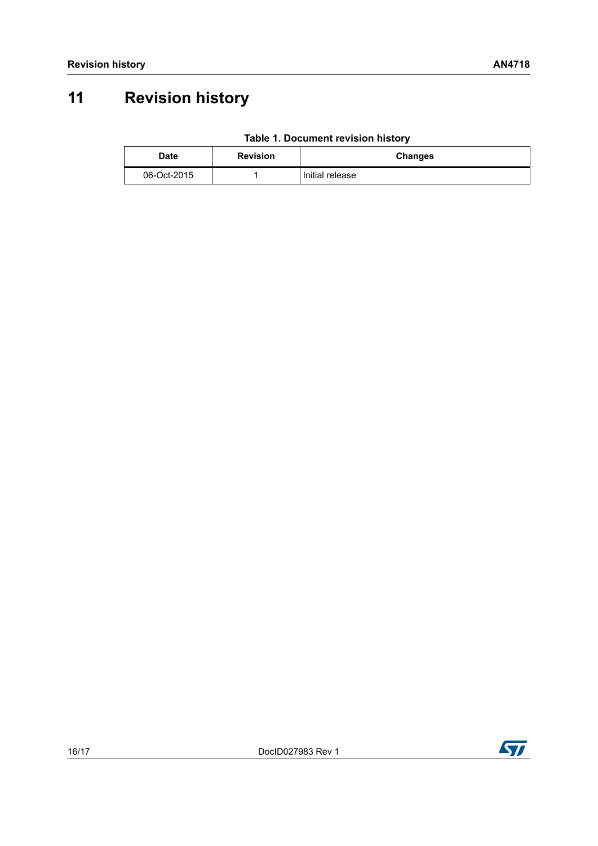# <span id="page-15-0"></span>**11 Revision history**

| <b>Date</b> | <b>Revision</b> | <b>Changes</b>  |
|-------------|-----------------|-----------------|
| 06-Oct-2015 |                 | Initial release |